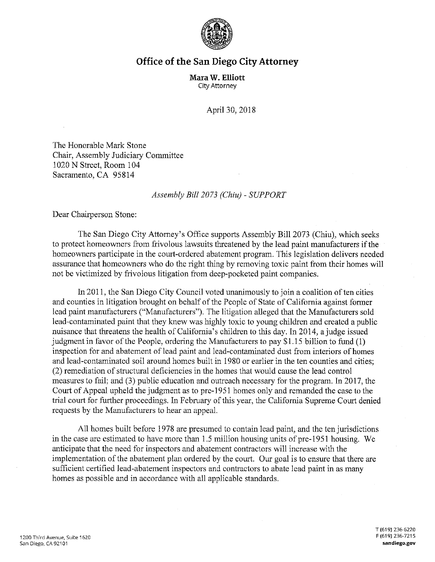

## **Office of the San Diego City Attorney**

**Mara W. Elliott**  City Attorney

April 30, 2018

The Honorable Mark Stone Chair, Assembly Judiciary Committee 1020 N Street, Room 104 Sacramento, CA 95814

## *Assembly Bill 2073 (Chiu)* - *SUPPORT*

Dear Chairperson Stone:

The San Diego City Attorney's Office supports Assembly Bill 2073 (Chiu), which seeks to protect homeowners from frivolous lawsuits threatened by the lead paint manufacturers if the homeowners participate in the court-ordered abatement program. This legislation delivers needed assurance that homeowners who do the right thing by removing toxic paint from their homes will not be victimized by frivolous litigation from deep-pocketed paint companies.

In 2011, the San Diego City Council voted unanimously to join a coalition often cities and counties in litigation brought on behalf of the People of State of California against former lead paint manufacturers ("Manufacturers"). The litigation alleged that the Manufacturers sold lead-contaminated paint that they knew was highly toxic to young children and created a public nuisance that threatens the health of California's children to this day. In 2014, a judge issued judgment in favor of the People, ordering the Manufacturers to pay \$1.15 billion to fund (1) inspection for and abatement of lead paint and lead-contaminated dust from interiors of homes and lead-contaminated soil around homes built in 1980 or earlier in the ten counties and cities; (2) remediation of structural deficiencies in the homes that would cause the lead control measures to fail; and (3) public education and outreach necessary for the program. In 2017, the Court of Appeal upheld the judgment as to pre-1951 homes only and remanded the case to the trial court for further proceedings. In February of this year, the California Supreme Court denied requests by the Manufacturers to hear an appeal.

All homes built before 1978 are presumed to contain lead paint, and the ten jurisdictions in the case are estimated to have more than 1.5 million housing units of pre-1951 housing. We anticipate that the need for inspectors and abatement contractors will increase with the implementation of the abatement plan ordered by the court. Our goal is to ensure that there are sufficient certified lead-abatement inspectors and contractors to abate lead paint in as many homes as possible and in accordance with all applicable standards.

T (619) 236-6220 F (619) 236-7215 **sandiego.gov**